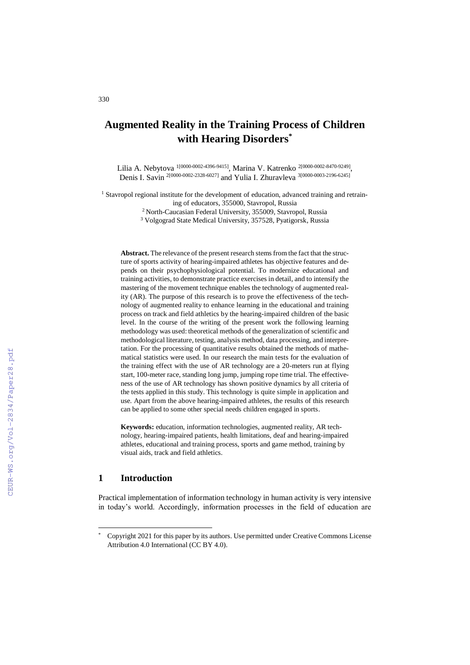# **Augmented Reality in the Training Process of Children with Hearing Disorders\***

Lilia A. Nebytova <sup>1[0000-0002-4396-9415]</sup>, Marina V. Katrenko <sup>2[0000-0002-8470-9249],</sup> Denis I. Savin 2[0000-0002-2328-6027] and Yulia I. Zhuravleva 3[0000-0003-2196-6245]

<sup>1</sup> Stavropol regional institute for the development of education, advanced training and retrain-

ing of educators, 355000, Stavropol, Russia

<sup>2</sup>North-Caucasian Federal University, 355009, Stavropol, Russia

<sup>3</sup> Volgograd State Medical University, 357528, Pyatigorsk, Russia

**Abstract.** The relevance of the present research stems from the fact that the structure of sports activity of hearing-impaired athletes has objective features and depends on their psychophysiological potential. To modernize educational and training activities, to demonstrate practice exercises in detail, and to intensify the mastering of the movement technique enables the technology of augmented reality (AR). The purpose of this research is to prove the effectiveness of the technology of augmented reality to enhance learning in the educational and training process on track and field athletics by the hearing-impaired children of the basic level. In the course of the writing of the present work the following learning methodology was used: theoretical methods of the generalization of scientific and methodological literature, testing, analysis method, data processing, and interpretation. For the processing of quantitative results obtained the methods of mathematical statistics were used. In our research the main tests for the evaluation of the training effect with the use of AR technology are a 20-meters run at flying start, 100-meter race, standing long jump, jumping rope time trial. The effectiveness of the use of AR technology has shown positive dynamics by all criteria of the tests applied in this study. This technology is quite simple in application and use. Apart from the above hearing-impaired athletes, the results of this research can be applied to some other special needs children engaged in sports.

**Keywords:** education, information technologies, augmented reality, AR technology, hearing-impaired patients, health limitations, deaf and hearing-impaired athletes, educational and training process, sports and game method, training by visual aids, track and field athletics.

## **1 Introduction**

 $\overline{a}$ 

Practical implementation of information technology in human activity is very intensive in today's world. Accordingly, information processes in the field of education are

<sup>\*</sup> Copyright 2021 for this paper by its authors. Use permitted under Creative Commons License Attribution 4.0 International (CC BY 4.0).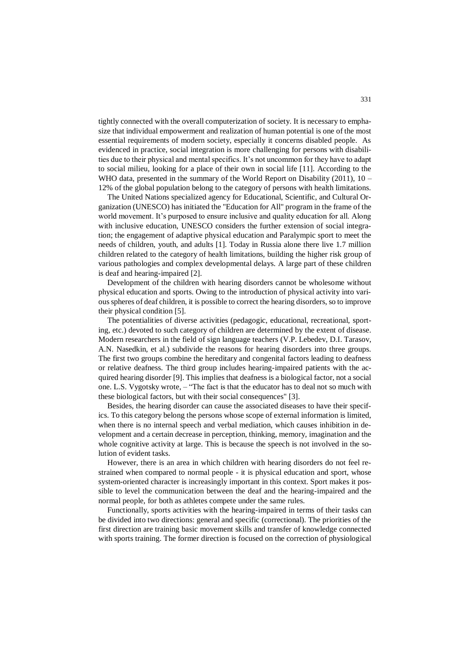tightly connected with the overall computerization of society. It is necessary to emphasize that individual empowerment and realization of human potential is one of the most essential requirements of modern society, especially it concerns disabled people. As evidenced in practice, social integration is more challenging for persons with disabilities due to their physical and mental specifics. It's not uncommon for they have to adapt to social milieu, looking for a place of their own in social life [11]. According to the WHO data, presented in the summary of the World Report on Disability  $(2011)$ , 10 – 12% of the global population belong to the category of persons with health limitations.

The United Nations specialized agency for Educational, Scientific, and Cultural Organization (UNESCO) has initiated the "Education for All" program in the frame of the world movement. It's purposed to ensure inclusive and quality education for all. Along with inclusive education, UNESCO considers the further extension of social integration; the engagement of adaptive physical education and Paralympic sport to meet the needs of children, youth, and adults [1]. Today in Russia alone there live 1.7 million children related to the category of health limitations, building the higher risk group of various pathologies and complex developmental delays. A large part of these children is deaf and hearing-impaired [2].

Development of the children with hearing disorders cannot be wholesome without physical education and sports. Owing to the introduction of physical activity into various spheres of deaf children, it is possible to correct the hearing disorders, so to improve their physical condition [5].

The potentialities of diverse activities (pedagogic, educational, recreational, sporting, etc.) devoted to such category of children are determined by the extent of disease. Modern researchers in the field of sign language teachers (V.P. Lebedev, D.I. Tarasov, A.N. Nasedkin, et al.) subdivide the reasons for hearing disorders into three groups. The first two groups combine the hereditary and congenital factors leading to deafness or relative deafness. The third group includes hearing-impaired patients with the acquired hearing disorder [9]. This implies that deafness is a biological factor, not a social one. L.S. Vygotsky wrote, – "The fact is that the educator has to deal not so much with these biological factors, but with their social consequences" [3].

Besides, the hearing disorder can cause the associated diseases to have their specifics. To this category belong the persons whose scope of external information is limited, when there is no internal speech and verbal mediation, which causes inhibition in development and a certain decrease in perception, thinking, memory, imagination and the whole cognitive activity at large. This is because the speech is not involved in the solution of evident tasks.

However, there is an area in which children with hearing disorders do not feel restrained when compared to normal people - it is physical education and sport, whose system-oriented character is increasingly important in this context. Sport makes it possible to level the communication between the deaf and the hearing-impaired and the normal people, for both as athletes compete under the same rules.

Functionally, sports activities with the hearing-impaired in terms of their tasks can be divided into two directions: general and specific (correctional). The priorities of the first direction are training basic movement skills and transfer of knowledge connected with sports training. The former direction is focused on the correction of physiological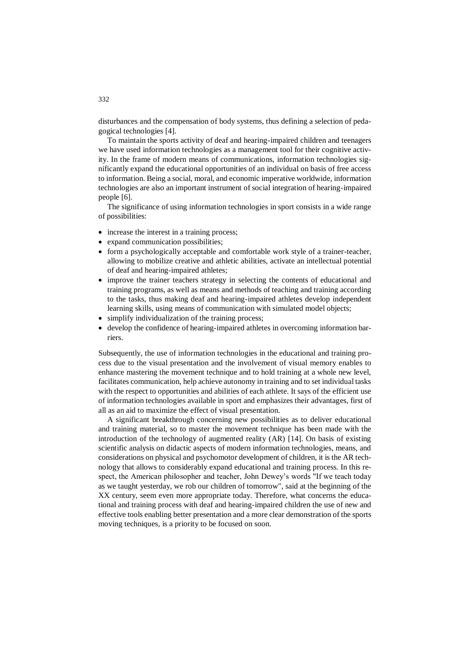disturbances and the compensation of body systems, thus defining a selection of pedagogical technologies [4].

To maintain the sports activity of deaf and hearing-impaired children and teenagers we have used information technologies as a management tool for their cognitive activity. In the frame of modern means of communications, information technologies significantly expand the educational opportunities of an individual on basis of free access to information. Being a social, moral, and economic imperative worldwide, information technologies are also an important instrument of social integration of hearing-impaired people [6].

The significance of using information technologies in sport consists in a wide range of possibilities:

- increase the interest in a training process;
- expand communication possibilities;
- form a psychologically acceptable and comfortable work style of a trainer-teacher, allowing to mobilize creative and athletic abilities, activate an intellectual potential of deaf and hearing-impaired athletes;
- improve the trainer teachers strategy in selecting the contents of educational and training programs, as well as means and methods of teaching and training according to the tasks, thus making deaf and hearing-impaired athletes develop independent learning skills, using means of communication with simulated model objects;
- simplify individualization of the training process;
- develop the confidence of hearing-impaired athletes in overcoming information barriers.

Subsequently, the use of information technologies in the educational and training process due to the visual presentation and the involvement of visual memory enables to enhance mastering the movement technique and to hold training at a whole new level, facilitates communication, help achieve autonomy in training and to set individual tasks with the respect to opportunities and abilities of each athlete. It says of the efficient use of information technologies available in sport and emphasizes their advantages, first of all as an aid to maximize the effect of visual presentation.

A significant breakthrough concerning new possibilities as to deliver educational and training material, so to master the movement technique has been made with the introduction of the technology of augmented reality (AR) [14]. On basis of existing scientific analysis on didactic aspects of modern information technologies, means, and considerations on physical and psychomotor development of children, it is the AR technology that allows to considerably expand educational and training process. In this respect, the American philosopher and teacher, John Dewey's words "If we teach today as we taught yesterday, we rob our children of tomorrow", said at the beginning of the XX century, seem even more appropriate today. Therefore, what concerns the educational and training process with deaf and hearing-impaired children the use of new and effective tools enabling better presentation and a more clear demonstration of the sports moving techniques, is a priority to be focused on soon.

332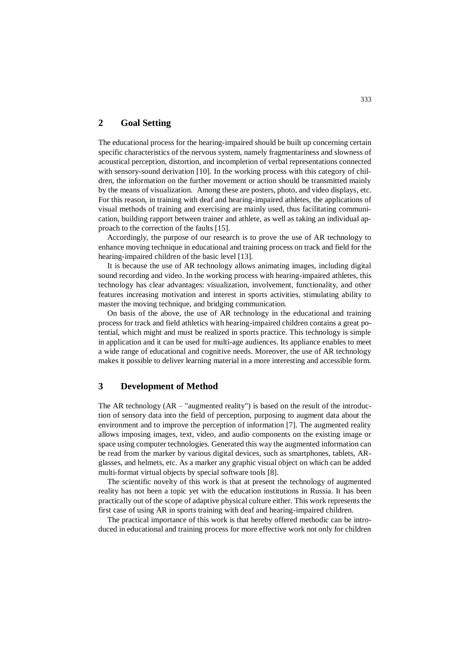## **2 Goal Setting**

The educational process for the hearing-impaired should be built up concerning certain specific characteristics of the nervous system, namely fragmentariness and slowness of acoustical perception, distortion, and incompletion of verbal representations connected with sensory-sound derivation [10]. In the working process with this category of children, the information on the further movement or action should be transmitted mainly by the means of visualization. Among these are posters, photo, and video displays, etc. For this reason, in training with deaf and hearing-impaired athletes, the applications of visual methods of training and exercising are mainly used, thus facilitating communication, building rapport between trainer and athlete, as well as taking an individual approach to the correction of the faults [15].

Accordingly, the purpose of our research is to prove the use of AR technology to enhance moving technique in educational and training process on track and field for the hearing-impaired children of the basic level [13].

It is because the use of AR technology allows animating images, including digital sound recording and video. In the working process with hearing-impaired athletes, this technology has clear advantages: visualization, involvement, functionality, and other features increasing motivation and interest in sports activities, stimulating ability to master the moving technique, and bridging communication.

On basis of the above, the use of AR technology in the educational and training process for track and field athletics with hearing-impaired children contains a great potential, which might and must be realized in sports practice. This technology is simple in application and it can be used for multi-age audiences. Its appliance enables to meet a wide range of educational and cognitive needs. Moreover, the use of AR technology makes it possible to deliver learning material in a more interesting and accessible form.

## **3 Development of Method**

The AR technology  $(AR - "augmented reality")$  is based on the result of the introduction of sensory data into the field of perception, purposing to augment data about the environment and to improve the perception of information [7]. The augmented reality allows imposing images, text, video, and audio components on the existing image or space using computer technologies. Generated this way the augmented information can be read from the marker by various digital devices, such as smartphones, tablets, ARglasses, and helmets, etc. As a marker any graphic visual object on which can be added multi-format virtual objects by special software tools [8].

The scientific novelty of this work is that at present the technology of augmented reality has not been a topic yet with the education institutions in Russia. It has been practically out of the scope of adaptive physical culture either. This work represents the first case of using AR in sports training with deaf and hearing-impaired children.

The practical importance of this work is that hereby offered methodic can be introduced in educational and training process for more effective work not only for children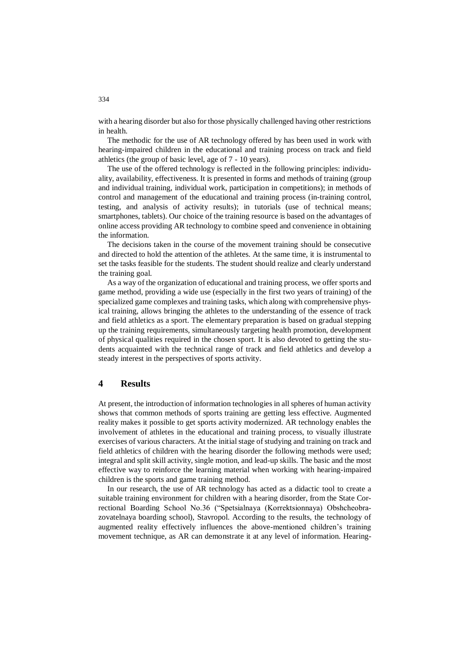with a hearing disorder but also for those physically challenged having other restrictions in health.

The methodic for the use of AR technology offered by has been used in work with hearing-impaired children in the educational and training process on track and field athletics (the group of basic level, age of 7 - 10 years).

The use of the offered technology is reflected in the following principles: individuality, availability, effectiveness. It is presented in forms and methods of training (group and individual training, individual work, participation in competitions); in methods of control and management of the educational and training process (in-training control, testing, and analysis of activity results); in tutorials (use of technical means; smartphones, tablets). Our choice of the training resource is based on the advantages of online access providing AR technology to combine speed and convenience in obtaining the information.

The decisions taken in the course of the movement training should be consecutive and directed to hold the attention of the athletes. At the same time, it is instrumental to set the tasks feasible for the students. The student should realize and clearly understand the training goal.

As a way of the organization of educational and training process, we offer sports and game method, providing a wide use (especially in the first two years of training) of the specialized game complexes and training tasks, which along with comprehensive physical training, allows bringing the athletes to the understanding of the essence of track and field athletics as a sport. The elementary preparation is based on gradual stepping up the training requirements, simultaneously targeting health promotion, development of physical qualities required in the chosen sport. It is also devoted to getting the students acquainted with the technical range of track and field athletics and develop a steady interest in the perspectives of sports activity.

### **4 Results**

At present, the introduction of information technologies in all spheres of human activity shows that common methods of sports training are getting less effective. Augmented reality makes it possible to get sports activity modernized. AR technology enables the involvement of athletes in the educational and training process, to visually illustrate exercises of various characters. At the initial stage of studying and training on track and field athletics of children with the hearing disorder the following methods were used; integral and split skill activity, single motion, and lead-up skills. The basic and the most effective way to reinforce the learning material when working with hearing-impaired children is the sports and game training method.

In our research, the use of AR technology has acted as a didactic tool to create a suitable training environment for children with a hearing disorder, from the State Correctional Boarding School No.36 ("Spetsialnaya (Korrektsionnaya) Obshcheobrazovatelnaya boarding school), Stavropol. According to the results, the technology of augmented reality effectively influences the above-mentioned children's training movement technique, as AR can demonstrate it at any level of information. Hearing-

#### 334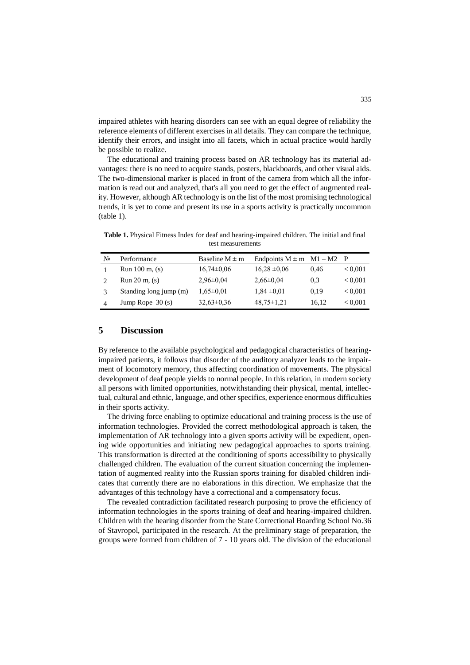impaired athletes with hearing disorders can see with an equal degree of reliability the reference elements of different exercises in all details. They can compare the technique, identify their errors, and insight into all facets, which in actual practice would hardly be possible to realize.

The educational and training process based on AR technology has its material advantages: there is no need to acquire stands, posters, blackboards, and other visual aids. The two-dimensional marker is placed in front of the camera from which all the information is read out and analyzed, that's all you need to get the effect of augmented reality. However, although AR technology is on the list of the most promising technological trends, it is yet to come and present its use in a sports activity is practically uncommon (table 1).

**Table 1.** Physical Fitness Index for deaf and hearing-impaired children. The initial and final test measurements

| No | Performance               | Baseline $M \pm m$ | Endpoints $M \pm m$ $M1 - M2$ P |       |                |
|----|---------------------------|--------------------|---------------------------------|-------|----------------|
|    | Run $100 \text{ m}$ , (s) | $16,74\pm0.06$     | $16,28 \pm 0,06$                | 0.46  | ${}_{< 0.001}$ |
|    | Run 20 m, (s)             | $2,96\pm0.04$      | $2,66 \pm 0.04$                 | 0.3   | ${}_{< 0.001}$ |
|    | Standing long jump (m)    | $1,65 \pm 0.01$    | $1,84 \pm 0,01$                 | 0.19  | ${}_{< 0.001}$ |
| 4  | Jump Rope $30(s)$         | $32,63\pm0.36$     | $48,75 \pm 1,21$                | 16.12 | ${}_{< 0.001}$ |

## **5 Discussion**

By reference to the available psychological and pedagogical characteristics of hearingimpaired patients, it follows that disorder of the auditory analyzer leads to the impairment of locomotory memory, thus affecting coordination of movements. The physical development of deaf people yields to normal people. In this relation, in modern society all persons with limited opportunities, notwithstanding their physical, mental, intellectual, cultural and ethnic, language, and other specifics, experience enormous difficulties in their sports activity.

The driving force enabling to optimize educational and training process is the use of information technologies. Provided the correct methodological approach is taken, the implementation of AR technology into a given sports activity will be expedient, opening wide opportunities and initiating new pedagogical approaches to sports training. This transformation is directed at the conditioning of sports accessibility to physically challenged children. The evaluation of the current situation concerning the implementation of augmented reality into the Russian sports training for disabled children indicates that currently there are no elaborations in this direction. We emphasize that the advantages of this technology have a correctional and a compensatory focus.

The revealed contradiction facilitated research purposing to prove the efficiency of information technologies in the sports training of deaf and hearing-impaired children. Children with the hearing disorder from the State Correctional Boarding School No.36 of Stavropol, participated in the research. At the preliminary stage of preparation, the groups were formed from children of 7 - 10 years old. The division of the educational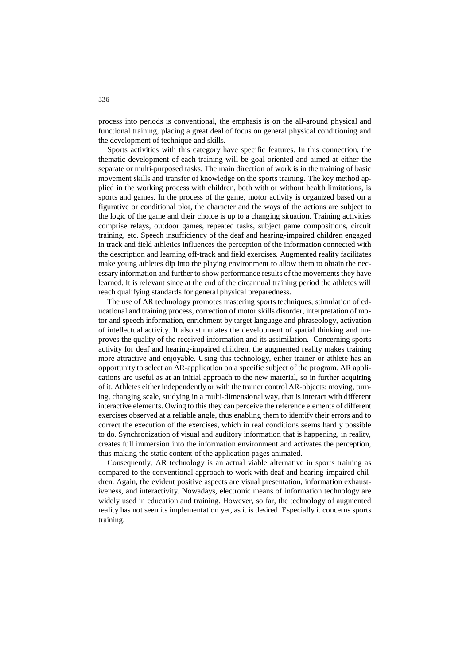process into periods is conventional, the emphasis is on the all-around physical and functional training, placing a great deal of focus on general physical conditioning and the development of technique and skills.

Sports activities with this category have specific features. In this connection, the thematic development of each training will be goal-oriented and aimed at either the separate or multi-purposed tasks. The main direction of work is in the training of basic movement skills and transfer of knowledge on the sports training. The key method applied in the working process with children, both with or without health limitations, is sports and games. In the process of the game, motor activity is organized based on a figurative or conditional plot, the character and the ways of the actions are subject to the logic of the game and their choice is up to a changing situation. Training activities comprise relays, outdoor games, repeated tasks, subject game compositions, circuit training, etc. Speech insufficiency of the deaf and hearing-impaired children engaged in track and field athletics influences the perception of the information connected with the description and learning off-track and field exercises. Augmented reality facilitates make young athletes dip into the playing environment to allow them to obtain the necessary information and further to show performance results of the movements they have learned. It is relevant since at the end of the circannual training period the athletes will reach qualifying standards for general physical preparedness.

The use of AR technology promotes mastering sports techniques, stimulation of educational and training process, correction of motor skills disorder, interpretation of motor and speech information, enrichment by target language and phraseology, activation of intellectual activity. It also stimulates the development of spatial thinking and improves the quality of the received information and its assimilation. Concerning sports activity for deaf and hearing-impaired children, the augmented reality makes training more attractive and enjoyable. Using this technology, either trainer or athlete has an opportunity to select an AR-application on a specific subject of the program. AR applications are useful as at an initial approach to the new material, so in further acquiring of it. Athletes either independently or with the trainer control AR-objects: moving, turning, changing scale, studying in a multi-dimensional way, that is interact with different interactive elements. Owing to this they can perceive the reference elements of different exercises observed at a reliable angle, thus enabling them to identify their errors and to correct the execution of the exercises, which in real conditions seems hardly possible to do. Synchronization of visual and auditory information that is happening, in reality, creates full immersion into the information environment and activates the perception, thus making the static content of the application pages animated.

Consequently, AR technology is an actual viable alternative in sports training as compared to the conventional approach to work with deaf and hearing-impaired children. Again, the evident positive aspects are visual presentation, information exhaustiveness, and interactivity. Nowadays, electronic means of information technology are widely used in education and training. However, so far, the technology of augmented reality has not seen its implementation yet, as it is desired. Especially it concerns sports training.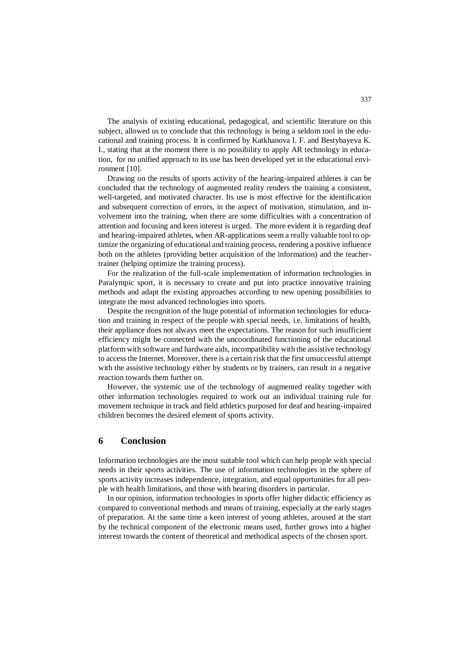The analysis of existing educational, pedagogical, and scientific literature on this subject, allowed us to conclude that this technology is being a seldom tool in the educational and training process. It is confirmed by Katkhanova I. F. and Bestybayeva K. I., stating that at the moment there is no possibility to apply AR technology in education, for no unified approach to its use has been developed yet in the educational environment [10].

Drawing on the results of sports activity of the hearing-impaired athletes it can be concluded that the technology of augmented reality renders the training a consistent, well-targeted, and motivated character. Its use is most effective for the identification and subsequent correction of errors, in the aspect of motivation, stimulation, and involvement into the training, when there are some difficulties with a concentration of attention and focusing and keen interest is urged. The more evident it is regarding deaf and hearing-impaired athletes, when AR-applications seem a really valuable tool to optimize the organizing of educational and training process, rendering a positive influence both on the athletes (providing better acquisition of the information) and the teachertrainer (helping optimize the training process).

For the realization of the full-scale implementation of information technologies in Paralympic sport, it is necessary to create and put into practice innovative training methods and adapt the existing approaches according to new opening possibilities to integrate the most advanced technologies into sports.

Despite the recognition of the huge potential of information technologies for education and training in respect of the people with special needs, i.e. limitations of health, their appliance does not always meet the expectations. The reason for such insufficient efficiency might be connected with the uncoordinated functioning of the educational platform with software and hardware aids, incompatibility with the assistive technology to access the Internet. Moreover, there is a certain risk that the first unsuccessful attempt with the assistive technology either by students or by trainers, can result in a negative reaction towards them further on.

However, the systemic use of the technology of augmented reality together with other information technologies required to work out an individual training rule for movement technique in track and field athletics purposed for deaf and hearing-impaired children becomes the desired element of sports activity.

#### **6 Conclusion**

Information technologies are the most suitable tool which can help people with special needs in their sports activities. The use of information technologies in the sphere of sports activity increases independence, integration, and equal opportunities for all people with health limitations, and those with hearing disorders in particular.

In our opinion, information technologies in sports offer higher didactic efficiency as compared to conventional methods and means of training, especially at the early stages of preparation. At the same time a keen interest of young athletes, aroused at the start by the technical component of the electronic means used, further grows into a higher interest towards the content of theoretical and methodical aspects of the chosen sport.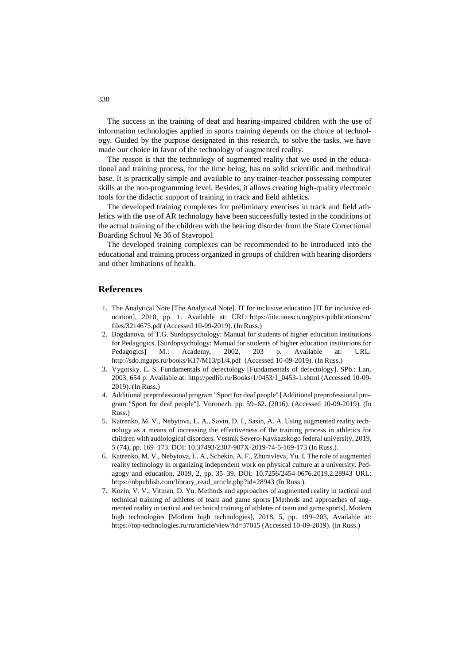The success in the training of deaf and hearing-impaired children with the use of information technologies applied in sports training depends on the choice of technology. Guided by the purpose designated in this research, to solve the tasks, we have made our choice in favor of the technology of augmented reality.

The reason is that the technology of augmented reality that we used in the educational and training process, for the time being, has no solid scientific and methodical base. It is practically simple and available to any trainer-teacher possessing computer skills at the non-programming level. Besides, it allows creating high-quality electronic tools for the didactic support of training in track and field athletics.

The developed training complexes for preliminary exercises in track and field athletics with the use of AR technology have been successfully tested in the conditions of the actual training of the children with the hearing disorder from the State Correctional Boarding School № 36 of Stavropol.

The developed training complexes can be recommended to be introduced into the educational and training process organized in groups of children with hearing disorders and other limitations of health.

#### **References**

- 1. The Analytical Note [The Analytical Note]. IT for inclusive education [IT for inclusive education], 2010, pp. 1. Available at: URL: [https://iite.unesco.org/pics/publications/ru/](https://iite.unesco.org/pics/publications/ru/files/3214675.pdf) [files/3214675.pdf](https://iite.unesco.org/pics/publications/ru/files/3214675.pdf) (Accessed 10-09-2019). (In Russ.)
- 2. Bogdanova, of T.G. Surdopsychology: Manual for students of higher education institutions for Pedagogics. [Surdopsychology: Manual for students of higher education institutions for Pedagogics] M.: Academy, 2002, 203 p. Available at: URL: <http://sdo.mgaps.ru/books/K17/M13/p1/4.pdf>(Accessed 10-09-2019). (In Russ.)
- 3. Vygotsky, L. S. Fundamentals of defectology [Fundamentals of defectology]. SPb.: Lan, 2003, 654 p. Available at: [http://pedlib.ru/Books/1/0453/1\\_0453-1.shtml](http://pedlib.ru/Books/1/0453/1_0453-1.shtml) (Accessed 10-09- 2019). (In Russ.)
- 4. Additional preprofessional program "Sport for deaf people" [Additional preprofessional program "Sport for deaf people"]. Voronezh. pp. 59–62. (2016). (Accessed 10-09-2019). (In Russ.)
- 5. Katrenko, M. V., Nebytova, L. A., Savin, D. I., Sasin, A. A. Using augmented reality technology as a means of increasing the effectiveness of the training process in athletics for children with audiological disorders. Vestnik Severo-Kavkazskogo federal university, 2019, 5 (74), pp. 169–173. DOI: 10.37493/2307-907X-2019-74-5-169-173 (In Russ.).
- 6. Katrenko, M. V., Nebytova, L. A., Schekin, A. F., Zhuravleva, Yu. I. The role of augmented reality technology in organizing independent work on physical culture at a university. Pedagogy and education, 2019, 2, pp. 35–39. DOI: 10.7256/2454-0676.2019.2.28943 URL: [https://nbpublish.com/library\\_read\\_article.php?id=28943](https://nbpublish.com/library_read_article.php?id=28943) (In Russ.).
- 7. Kozin, V. V., Vitman, D. Yu. Methods and approaches of augmented reality in tactical and technical training of athletes of team and game sports [Methods and approaches of augmented reality in tactical and technical training of athletes of team and game sports]. Modern high technologies [Modern high technologies], 2018, 5, pp. 199–203, Available at: https://top-technologies.ru/ru/article/view?id=37015 (Accessed 10-09-2019). (In Russ.)

338